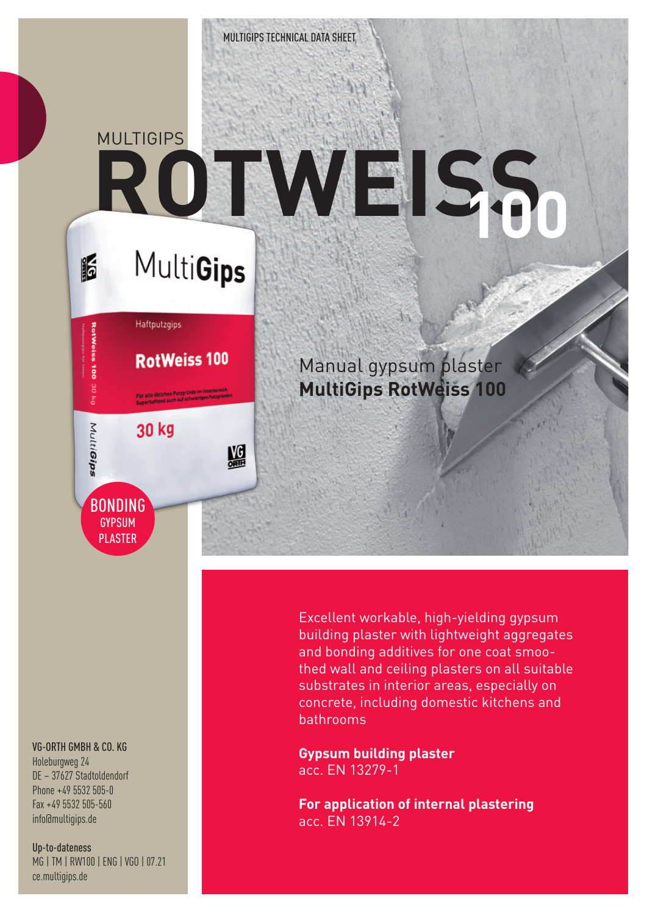## **MULTIGIPS ROTWEISS**

## VG-ORTH GMBH & CO. KG

**BONDING GYPSUM** PLASTER

Haftputzgips

30 kg

**RotWeiss 100** 

盟

16

j

Зм ng

MultiGips

Holeburgweg 24 DE – 37627 Stadtoldendorf Phone +49 5532 505-0 Fax +49 5532 505-560 info@multigips.de

Up-to-dateness MG | TM | RW100 | ENG | VGO | 07.21 ce.multigips.de

Excellent workable, high-yielding gypsum building plaster with lightweight aggregates and bonding additives for one coat smoothed wall and ceiling plasters on all suitable substrates in interior areas, especially on concrete, including domestic kitchens and bathrooms

Manual gypsum plaster

**MultiGips RotWeiss 100**

**Gypsum building plaster** acc. EN 13279-1

**For application of internal plastering** acc. EN 13914-2